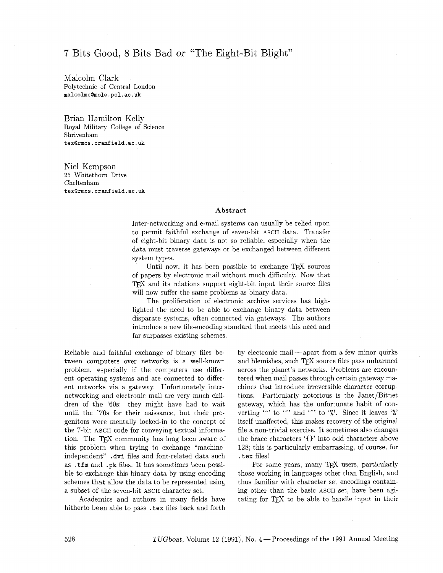# 7 Bits Good, 8 Bits Bad or "The Eight-Bit Blight"

Malcolm Clark Polytechnic of Central London **malcolmcQmole.pcl.ac.uk** 

Brian Hamilton Kelly Royal Military College of Science Shrivenham **texQrmcs.cranfield.ac.uk** 

Niel Kempson 25 Whitethorn Drive Cheltenham **texQrmcs.cranfield.ac.uk** 

#### **Abstract**

Inter-networking and e-mail systems can usually be relied upon to permit faithful exchange of seven-bit ASCII data. Transfer of eight-bit binary data is not so reliable, especially when the data must traverse gateways or be exchanged between different system types.

Until now, it has been possible to exchange  $T<sub>F</sub>X$  sources of papers by electronic mail without much difficulty. Now that TFX and its relations support eight-bit input their source files will now suffer the same problems as binary data.

The proliferation of electronic archive services has highlighted the need to be able to exchange binary data between disparate systems, often connected via gateways. The authors introduce a new file-encoding standard that meets this need and far surpasses existing schemes.

Reliable and faithful exchange of binary files between computers over networks is a well-known problem, especially if the computers use different operating systems and are connected to different networks via a gateway. Unfortunately internetworking and electronic mail are very much children of the '60s: they might have had to wait until the '70s for their naissance, but their progenitors were mentally locked-in to the concept of the 7-bit ASCII code for conveying textual information. The TEX community has long been aware of this problem when trying to exchange "machineindependent" **.dvi** files and font-related data such as . tfm and . pk files. It has sometimes been possible to exchange this binary data by using encoding schemes that allow the data to be represented using a subset of the seven-bit ASCII character set.

Academics and authors in many fields have hitherto been able to pass . tex files back and forth by electronic mail—apart from a few minor quirks and blemishes, such TFX source files pass unharmed across the planet's networks. Problems are encountered when mail passes through certain gateway machines that introduce irreversible character corruptions. Particularly notorious is the Janet/Bitnet gateway, which has the unfortunate habit of converting '<sup>-</sup>' to '<sup>"</sup>' and '<sup>"</sup>' to '*"*'. Since it leaves '*"*," itself unaffected, this makes recovery of the original file a non-trivial exercise. It sometimes also changes the brace characters **'I)'** into odd characters above 128; this is particularly embarrassing, of course, for . tex files!

For some years, many TFX users, particularly those working in languages other than English, and thus familiar with character set encodings containing other than the basic ASCII set, have been agitating for TFX to be able to handle input in their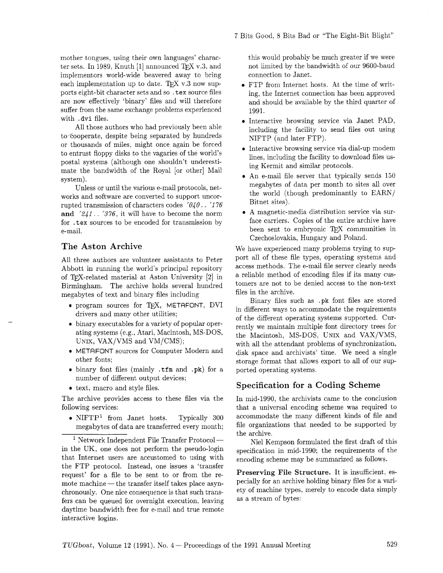mother tongues, using their own languages' character sets. In 1989, Knuth [1] announced T<sub>F</sub>X v.3, and implementors world-wide beavered away to bring each implementation up to date. TEX  $v.3$  now supports eight-bit character sets and so . tex source files are now effectively 'binary' files and will therefore suffer from the same exchange problems experienced with . dvi files.

All those authors who had previously been able to cooperate, despite being separated by hundreds or thousands of miles, might once again be forced to entrust floppy disks to the vagaries of the world's postal systems (although one shouldn't underestimate the bandwidth of the Royal [or other] Mail system).

Unless or until the various e-mail protocols, networks and software are converted to support uncorrupted transmission of characters codes *'040.* . *'1* 76 **and** *'241.* . '376, it will have to become the norm for . tex sources to be encoded for transmission by e-mail.

# **The Aston Archive**

All three authors are volunteer assistants to Peter Abbott in running the world's principal repository of T<sub>F</sub>X-related material at Aston University [2] in Birmingham. The archive holds several hundred megabytes of text and binary files including

- · program sources for TEX, METAFONT, DVI drivers and many other utilities;
- **0** binary executables for a variety of popular operating systems (e.g., Atari, Macintosh, MS-DOS, UNIX, VAX/VMS and VM/CMS);
- 0 METAFONT sources for Computer Modern and other fonts;
- <sup>0</sup>binary font files (mainly . tfm and . pk) for a number of different output devices;
- text, macro and style files.

The archive provides access to these files via the following services:

• NIFTP<sup>1</sup> from Janet hosts. Typically 300 megabytes of data are transferred every month;

 $1$  Network Independent File Transfer Protocol in the UK, one does not perform the pseudo-login that Internet users are accustomed to using with the FTP protocol. Instead, one issues a 'transfer request' for a file to be sent to or from the rethe FTP protocol. Instead, one issues a 'transfer<br>request' for a file to be sent to or from the re-<br>mote machine — the transfer itself takes place asynchronously. One nice consequence is that such transfers can be queued for overnight execution, leaving daytime bandwidth free for e-mail and true remote interactive logins.

this would probably be much greater if we were not limited by the bandwidth of our 9600-baud connection to Janet.

- FTP from Internet hosts. At the time of writing, the Internet connection has been approved and should be available by the third quarter of 1991.
- Interactive browsing service via Janet PAD, including the facility to send files out using NIFTP (and later FTP).
- Interactive browsing service via dial-up modem lines, including the facility to download files using Kermit and similar protocols.
- An e-mail file server that typically sends 150 megabytes of data per month to sites all over the world (though predominantly to EARN/ Bitnet sites).
- A magnetic-media distribution service via surface carriers. Copies of the entire archive have been sent to embryonic TFX communities in Czechoslovakia, Hungary and Poland.

We have experienced many problems trying to support all of these file types, operating systems and access methods. The e-mail file server clearly needs a reliable method of encoding files if its many customers are not to be denied access to the non-text files in the archive.

Binary files such as .pk font files are stored in different ways to accommodate the requirements of the different operating systems supported. Currently we maintain multiple font directory trees for the Macintosh, MS-DOS, UNIX and VAX/VMS, with all the attendant problems of synchronization, disk space and archivists' time. We need a single storage format that allows export to all of our supported operating systems.

### **Specification for a Coding Scheme**

In mid-1990, the archivists came to the conclusion that a universal encoding scheme was required to accommodate the many different kinds of file and file organizations that needed to be supported by the archive.

Niel Kempson formulated the first draft of this specification in mid-1990; the requirements of the encoding scheme may be summarized as follows.

**Preserving File Structure.** It is insufficient, especially for an archive holding binary files for a variety of machine types, merely to encode data simply as a stream of bytes: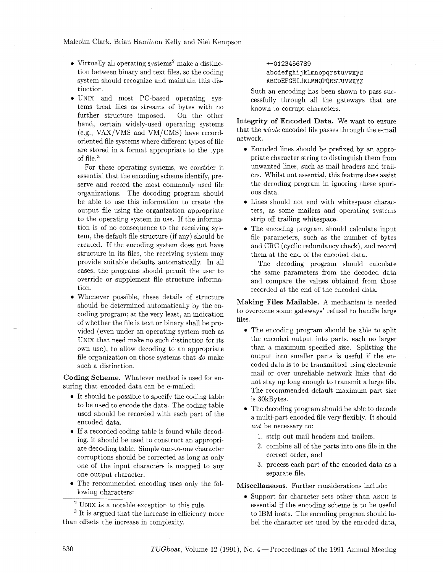Malcolm Clark, Brian Hamilton Kelly and Niel Kempson

- Virtually all operating systems<sup>2</sup> make a distinction between binary and text files. so the coding system should recognize and maintain this distinction.
- **0** UNIX and most PC-based operating systems treat files as streams of bytes with no further structure imposed. On the other hand, certain widely-used operating systems (e.g., VAX/VMS and VM/CMS) have recordoriented file systems where different types of file are stored in a format appropriate to the type of file.<sup>3</sup>

For these operating systems, we consider it essential that the encoding scheme identify, preserve and record the most commonly used file organizations. The decoding program should be able to use this information to create the output file using the organization appropriate to the operating system in use. If the information is of no consequence to the receiving system, the default file structure (if any) should be created. If the encoding system does not have structure in its files, the receiving system may provide suitable defaults automatically. In all cases. the programs should permit the user to override or supplement file structure information.

Whenever possible, these details of structure should be determined automatically by the encoding program; at the very least, an indication of whether the file is text or binary shall be provided (even under an operating system such as UNIX that need make no such distinction for its own use), to allow decoding to an appropriate file organization on those systems that do make such a distinction.

**Coding Scheme.** Whatever method is used for ensuring that encoded data can be e-mailed:

- It should be possible to specify the coding table to be used to encode the data. The coding table used should be recorded with each part of the encoded data.
- If a recorded coding table is found while decoding, it should be used to construct an appropriate decoding table. Simple one-to-one character corruptions should be corrected as long as only one of the input characters is mapped to any one output character.
- The recommended encoding uses only the following characters:

### +-0123456789 **abcdefghijklmnopqrstuvwxyz ABCDEFGHIJKLMNOPQRSTUVWXYZ**

Such an encoding has been shown to pass successfully through all the gateways that are known to corrupt characters.

**Integrity of Encoded Data.** We want to ensure that the whole encoded file passes through the e-mail network.

- Encoded lines should be prefixed by an appropriate character string to distinguish them from unwanted lines, such as mail headers and trailers. Whilst not essential, this feature does assist the decoding program in ignoring these spurious data.
- Lines should not end with whitespace characters, as some mailers and operating systems strip off trailing whitespace.
- The encoding program should calculate input file parameters, such as the number of bytes and CRC (cyclic redundancy check), and record them at the end of the encoded data.

The decoding program should calculate the same parameters from the decoded data and compare the values obtained from those recorded at the end of the encoded data.

files **Making Files Mailable.** A mechanism is needed to overcome some gateways' refusal to handle large

- **e**  The encoding program should be able to split the encoded output into parts, each no larger than a maximum specified size. Splitting the output into smaller parts is useful if the encoded data is to be transmitted using electronic mail or over unreliable network links that do not stay up long enough to transmit a large file. The recommended default maximum part size is 30kBytes.
- The decoding program should be able to decode a multi-part encoded file very flexibly. It should not be necessary to:
	- 1. strip out mail headers and trailers,
	- 2. combine all of the parts into one file in the correct order, and
	- **3.** process each part of the encoded data as a separate file.

**Miscellaneous.** Further considerations include:

\* Support for character sets other than ASCII is essential if the encoding scheme is to be useful to IBM hosts. The encoding program should label the character set used by the encoded data,

UNIX is a notable exception to this rule.

<sup>&</sup>lt;sup>3</sup> It is argued that the increase in efficiency more than offsets the increase in complexity.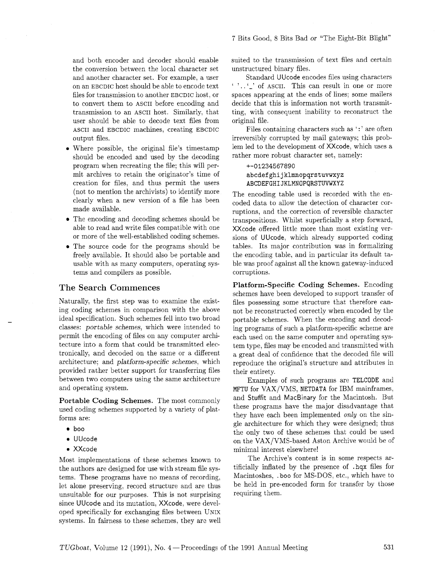and both encoder and decoder should enable the conversion between the local character set and another character set. For example, a user on an EBCDIC host should be able to encode text files for transmission to another EBCDIC host, or to convert them to ASCII before encoding and transmission to an ASCII host. Similarly, that user should be able to decode text files from ASCII and EBCDIC machines, creating EBCDIC output files.

- Where possible, the original file's timestamp should be encoded and used by the decoding program when recreating the file; this will permit archives to retain the originator's time of creation for files, and thus permit the users (not to mention the archivists) to identify more clearly when a new version of a file has been made available.
- The encoding and decoding schemes should be able to read and write files compatible with one or more of the well-established coding schemes.
- The source code for the programs should be freely available. It should also be portable and usable with as many computers, operating systems and compilers as possible.

### The Search Commences

Naturally, the first step was to examine the existing coding schemes in comparison with the above ideal specification. Such schemes fell into two broad classes: portable schemes, which were intended to permit the encoding of files on any computer architecture into a form that could be transmitted electronically, and decoded on the same or a different architecture; and platform-specific schemes, which provided rather better support for transferring files between two computers using the same architecture and operating system.

Portable Coding Schemes. The most commonly used coding schemes supported by a variety of platforms are:

- boo
- **0** UUcode
- **<sup>0</sup>**XXcode

Most implementations of these schemes known to the authors are designed for use with stream file systems. These programs have no means of recording, let alone preserving, record structure and are thus unsuitable for our purposes. This is not surprising since UUcode and its mutation, XXcode, were developed specifically for exchanging files between UNIX systems. In fairness to these schemes, they are well suited to the transmission of text files and certain unstructured binary files.

Standard UUcode encodes files using characters ' '..'\_' of ASCII. This can result in one or more spaces appearing at the ends of lines; some mailers decide that this is information not worth transmitting, with consequent inability to reconstruct the original file.

Files containing characters such as ':' are often irreversibly corrupted by mail gateways; this problem led to the development of XXcode, which uses a rather more robust character set, namely:

### +-01234567890 abcdef **ghij klmnopqrstuvwxyz ABCDEFGHIJKLMNOPQRSTWWXYZ**

The encoding table used is recorded with the encoded data to allow the detection of character corruptions, and the correction of reversible character transpositions. Whilst superficially a step forward, XXcode offered little more than most existing versions of UUcode; which already supported coding tables. Its major contribution was in formalizing the encoding table, and in particular its default table was proof against all the known gateway-induced corruptions.

Platform-Specific Coding Schemes. Encoding schemes have been developed to support transfer of files possessing some structure that therefore cannot be reconstructed correctly when encoded by the portable schemes. When the encoding and decoding programs of such a platform-specific scheme are each used on the same computer and operating system type, files may be encoded and transmitted with a great deal of confidence that the decoded file will reproduce the original's structure and attributes in their entirety.

Examples of such programs are TELCODE and MFTU for VAX/VMS, NETDATA for IBM mainframes, and StufFit and MacBinary for the Macintosh. But these programs have the major disadvantage that they have each been implemented only on the single architecture for which they were designed; thus the only two of these schemes that could be used on the VAX/VMS-based Aston Archive would be of minimal interest elsewhere!

The Archive's content is in some respects artificially inflated by the presence of . **hqx** files for Macintoshes, .boo for MS-DOS, etc., which have to be held in pre-encoded form for transfer by those requiring them.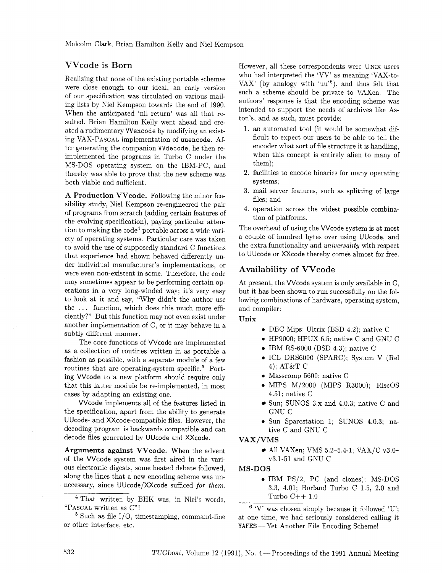# **VVcode is Born**

Realizing that none of the existing portable schemes were close enough to our ideal, an early version of our specification was circulated on various mailing lists by Niel Kempson towards the end of 1990. When the anticipated 'nil return' was all that resulted, Brian Hamilton Kelly went ahead and created a rudimentary VVencode by modifying an existing VAX-PASCAL implementation of uuencode. After generating the companion VVdecode, he then reimplemented the programs in Turbo C under the MS-DOS operating system on the IBM-PC, and thereby was able to prove that the new scheme was both viable and sufficient.

A Production VVcode. Following the minor feasibility study, Niel Kempson re-engineered the pair of programs from scratch (adding certain features of the evolving specification), paying particular attention to making the  $\text{code}^4$  portable across a wide variety of operating systems. Particular care was taken to avoid the use of supposedly standard C functions that experience had shown behaved differently under individual manufacturer's implementations, or were even non-existent in some. Therefore, the code may sometimes appear to be performing certain operations in a very long-winded way: it's very easy to look at it and say, "Why didn't the author use the . . . function, which does this much more efficiently?" But this function may not even exist under another implementation of C, or it may behave in a subtly different manner.

The core functions of VVcode are implemented as a collection of routines written in as portable a fashion as possible, with a separate module of a few routines that are operating-system specific. $5$  Porting VVcode to a new platform should require only that this latter module be re-implemented, in most cases by adapting an existing one.

VVcode implements all of the features listed in the specification, apart from the ability to generate UUcode- and XXcode-compatible files. However, the decoding program is backwards compatible and can decode files generated by UUcode and XXcode.

Arguments against VVcode. When the advent of the VVcode system was first aired in the various electronic digests, some heated debate followed, along the lines that a new encoding scheme was unnecessary, since UUcode/XXcode sufficed **for** *them.* 

<sup>4</sup> That written by BHK was, in Niel's words, "PASCAL written as C"!

 $5$  Such as file  $1/0$ , timestamping, command-line or other interface, etc.

However, all these correspondents were UNIX users who had interpreted the 'VV' as meaning 'VAX-to-VAX' (by analogy with 'uu'<sup>6</sup>), and thus felt that such a scheme should be private to VAXen. The authors' response is that the encoding scheme was intended to support the needs of archives like Aston's, and as such, must provide:

- 1. an automated tool (it would be somewhat difficult to expect our users to be able to tell the encoder what sort of file structure it is handling, when this concept is entirely alien to many of them) ;
- 2. facilities to encode binaries for many operating systems;
- 3. mail server features, such as splitting of large files; and
- 4. operation across the widest possible combination of platforms.

The overhead of using the VVcode system is at most a couple of hundred bytes over using UUcode, and the extra functionality and **universality** with respect to UUcode or XXcode thereby comes almost for free.

### **Availability of VVcode**

At present, the VVcode system is only available in C, but it has been shown to run successfully on the following combinations of hardware, operating system, and compiler:

#### Unix

- **0**  DEC Mips; Ultrix (BSD 4.2); native C
- **0**  HP9000; HPUX 6.5; native C and GNU C
- **0**  IBM RS-6000 (BSD 4.3); native C
- **0**  ICL DRS6000 (SPARC); System V (Re1 4); AT&T C
- **0**  Masscomp 5600; native C
- MIPS M/2000 (MIPS R3000); RiscOS 4.51; native C
- Sun; SUNOS 3.x and 4.0.3; native C and GNU C
- **0**  Sun Sparcstation 1; SUNOS 4.0.3; native C and GNU C

#### VAX/VMS

• All VAXen; VMS  $5.2 - 5.4 - 1$ ; VAX/C v3.0v3.1-51 and GNU C

#### MS-DOS

**0** IBM PS/2, PC (and clones); MS-DOS 3.3, 4.01; Borland Turbo C 1.5, 2.0 and Turbo  $C++1.0$ 

 $6$  'V' was chosen simply because it followed 'U'; at one time, we had seriously considered calling it <sup>6</sup> 'V' was chosen simply because it followed to one time, we had seriously considered calli<br>MAFES -- Yet Another File Encoding Scheme!